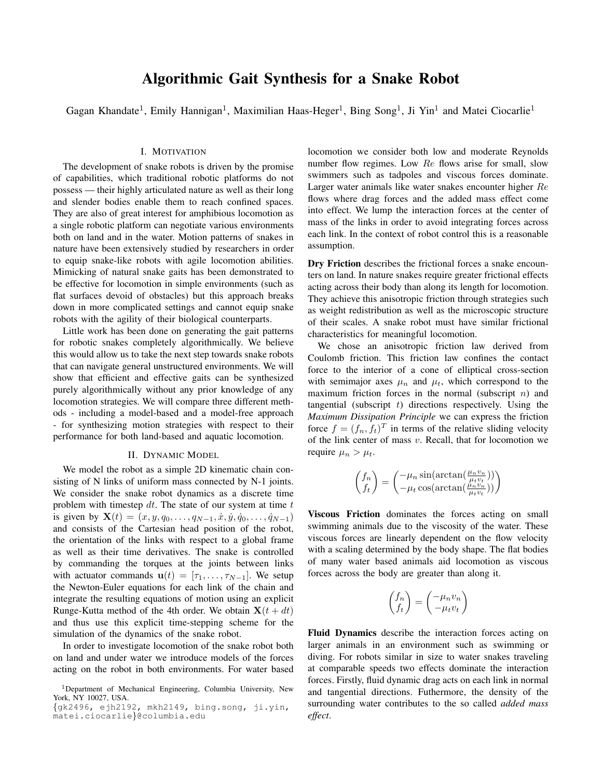# Algorithmic Gait Synthesis for a Snake Robot

Gagan Khandate<sup>1</sup>, Emily Hannigan<sup>1</sup>, Maximilian Haas-Heger<sup>1</sup>, Bing Song<sup>1</sup>, Ji Yin<sup>1</sup> and Matei Ciocarlie<sup>1</sup>

## I. MOTIVATION

The development of snake robots is driven by the promise of capabilities, which traditional robotic platforms do not possess — their highly articulated nature as well as their long and slender bodies enable them to reach confined spaces. They are also of great interest for amphibious locomotion as a single robotic platform can negotiate various environments both on land and in the water. Motion patterns of snakes in nature have been extensively studied by researchers in order to equip snake-like robots with agile locomotion abilities. Mimicking of natural snake gaits has been demonstrated to be effective for locomotion in simple environments (such as flat surfaces devoid of obstacles) but this approach breaks down in more complicated settings and cannot equip snake robots with the agility of their biological counterparts.

Little work has been done on generating the gait patterns for robotic snakes completely algorithmically. We believe this would allow us to take the next step towards snake robots that can navigate general unstructured environments. We will show that efficient and effective gaits can be synthesized purely algorithmically without any prior knowledge of any locomotion strategies. We will compare three different methods - including a model-based and a model-free approach - for synthesizing motion strategies with respect to their performance for both land-based and aquatic locomotion.

## II. DYNAMIC MODEL

We model the robot as a simple 2D kinematic chain consisting of N links of uniform mass connected by N-1 joints. We consider the snake robot dynamics as a discrete time problem with timestep  $dt$ . The state of our system at time  $t$ is given by  $\mathbf{X}(t) = (x, y, q_0, \dots, q_{N-1}, \dot{x}, \dot{y}, \dot{q}_0, \dots, \dot{q}_{N-1})$ and consists of the Cartesian head position of the robot, the orientation of the links with respect to a global frame as well as their time derivatives. The snake is controlled by commanding the torques at the joints between links with actuator commands  $\mathbf{u}(t) = [\tau_1, \ldots, \tau_{N-1}]$ . We setup the Newton-Euler equations for each link of the chain and integrate the resulting equations of motion using an explicit Runge-Kutta method of the 4th order. We obtain  $X(t + dt)$ and thus use this explicit time-stepping scheme for the simulation of the dynamics of the snake robot.

In order to investigate locomotion of the snake robot both on land and under water we introduce models of the forces acting on the robot in both environments. For water based locomotion we consider both low and moderate Reynolds number flow regimes. Low Re flows arise for small, slow swimmers such as tadpoles and viscous forces dominate. Larger water animals like water snakes encounter higher Re flows where drag forces and the added mass effect come into effect. We lump the interaction forces at the center of mass of the links in order to avoid integrating forces across each link. In the context of robot control this is a reasonable assumption.

Dry Friction describes the frictional forces a snake encounters on land. In nature snakes require greater frictional effects acting across their body than along its length for locomotion. They achieve this anisotropic friction through strategies such as weight redistribution as well as the microscopic structure of their scales. A snake robot must have similar frictional characteristics for meaningful locomotion.

We chose an anisotropic friction law derived from Coulomb friction. This friction law confines the contact force to the interior of a cone of elliptical cross-section with semimajor axes  $\mu_n$  and  $\mu_t$ , which correspond to the maximum friction forces in the normal (subscript  $n$ ) and tangential (subscript  $t$ ) directions respectively. Using the *Maximum Dissipation Principle* we can express the friction force  $f = (f_n, f_t)^T$  in terms of the relative sliding velocity of the link center of mass  $v$ . Recall, that for locomotion we require  $\mu_n > \mu_t$ .

$$
\begin{pmatrix} f_n \\ f_t \end{pmatrix} = \begin{pmatrix} -\mu_n \sin(\arctan(\frac{\mu_n v_n}{\mu_t v_t})) \\ -\mu_t \cos(\arctan(\frac{\mu_n v_n}{\mu_t v_t})) \end{pmatrix}
$$

Viscous Friction dominates the forces acting on small swimming animals due to the viscosity of the water. These viscous forces are linearly dependent on the flow velocity with a scaling determined by the body shape. The flat bodies of many water based animals aid locomotion as viscous forces across the body are greater than along it.

$$
\begin{pmatrix} f_n \\ f_t \end{pmatrix} = \begin{pmatrix} -\mu_n v_n \\ -\mu_t v_t \end{pmatrix}
$$

Fluid Dynamics describe the interaction forces acting on larger animals in an environment such as swimming or diving. For robots similar in size to water snakes traveling at comparable speeds two effects dominate the interaction forces. Firstly, fluid dynamic drag acts on each link in normal and tangential directions. Futhermore, the density of the surrounding water contributes to the so called *added mass effect*.

<sup>&</sup>lt;sup>1</sup>Department of Mechanical Engineering, Columbia University, New York, NY 10027, USA.

<sup>{</sup>gk2496, ejh2192, mkh2149, bing.song, ji.yin, matei.ciocarlie}@columbia.edu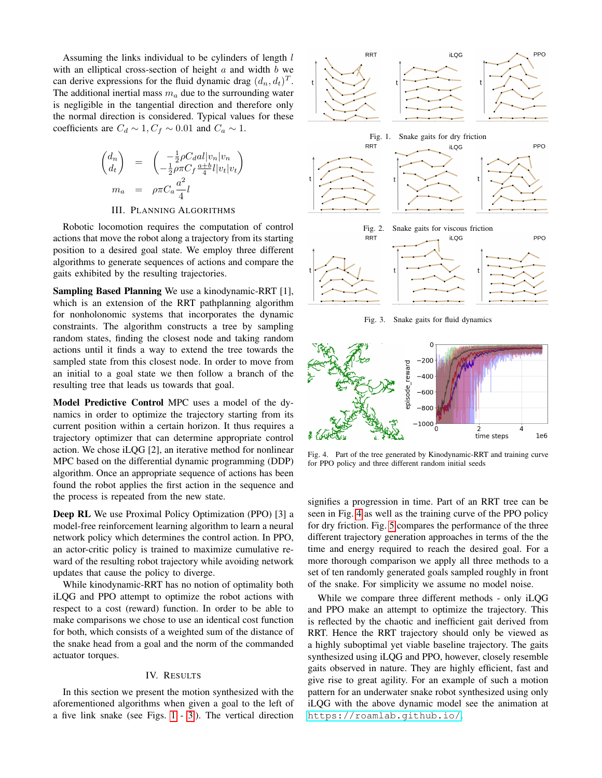Assuming the links individual to be cylinders of length l with an elliptical cross-section of height  $a$  and width  $b$  we can derive expressions for the fluid dynamic drag  $(d_n, d_t)^T$ . The additional inertial mass  $m_a$  due to the surrounding water is negligible in the tangential direction and therefore only the normal direction is considered. Typical values for these coefficients are  $C_d \sim 1, C_f \sim 0.01$  and  $C_a \sim 1$ .

$$
\begin{pmatrix} d_n \\ d_t \end{pmatrix} = \begin{pmatrix} -\frac{1}{2}\rho C_d a l |v_n| v_n \\ -\frac{1}{2}\rho \pi C_f \frac{a+b}{4} l |v_t| v_t \end{pmatrix}
$$

$$
m_a = \rho \pi C_a \frac{a^2}{4} l
$$

III. PLANNING ALGORITHMS

Robotic locomotion requires the computation of control actions that move the robot along a trajectory from its starting position to a desired goal state. We employ three different algorithms to generate sequences of actions and compare the gaits exhibited by the resulting trajectories.

Sampling Based Planning We use a kinodynamic-RRT [1], which is an extension of the RRT pathplanning algorithm for nonholonomic systems that incorporates the dynamic constraints. The algorithm constructs a tree by sampling random states, finding the closest node and taking random actions until it finds a way to extend the tree towards the sampled state from this closest node. In order to move from an initial to a goal state we then follow a branch of the resulting tree that leads us towards that goal.

Model Predictive Control MPC uses a model of the dynamics in order to optimize the trajectory starting from its current position within a certain horizon. It thus requires a trajectory optimizer that can determine appropriate control action. We chose iLQG [2], an iterative method for nonlinear MPC based on the differential dynamic programming (DDP) algorithm. Once an appropriate sequence of actions has been found the robot applies the first action in the sequence and the process is repeated from the new state.

Deep RL We use Proximal Policy Optimization (PPO) [3] a model-free reinforcement learning algorithm to learn a neural network policy which determines the control action. In PPO, an actor-critic policy is trained to maximize cumulative reward of the resulting robot trajectory while avoiding network updates that cause the policy to diverge.

While kinodynamic-RRT has no notion of optimality both iLQG and PPO attempt to optimize the robot actions with respect to a cost (reward) function. In order to be able to make comparisons we chose to use an identical cost function for both, which consists of a weighted sum of the distance of the snake head from a goal and the norm of the commanded actuator torques.

### IV. RESULTS

In this section we present the motion synthesized with the aforementioned algorithms when given a goal to the left of a five link snake (see Figs. [1](#page-1-0) - [3.](#page-1-1)). The vertical direction

<span id="page-1-0"></span>

<span id="page-1-1"></span>Fig. 3. Snake gaits for fluid dynamics



<span id="page-1-2"></span>Fig. 4. Part of the tree generated by Kinodynamic-RRT and training curve for PPO policy and three different random initial seeds

signifies a progression in time. Part of an RRT tree can be seen in Fig. [4](#page-1-2) as well as the training curve of the PPO policy for dry friction. Fig. [5](#page-2-0) compares the performance of the three different trajectory generation approaches in terms of the the time and energy required to reach the desired goal. For a more thorough comparison we apply all three methods to a set of ten randomly generated goals sampled roughly in front of the snake. For simplicity we assume no model noise.

While we compare three different methods - only iLQG and PPO make an attempt to optimize the trajectory. This is reflected by the chaotic and inefficient gait derived from RRT. Hence the RRT trajectory should only be viewed as a highly suboptimal yet viable baseline trajectory. The gaits synthesized using iLQG and PPO, however, closely resemble gaits observed in nature. They are highly efficient, fast and give rise to great agility. For an example of such a motion pattern for an underwater snake robot synthesized using only iLQG with the above dynamic model see the animation at <https://roamlab.github.io/>.